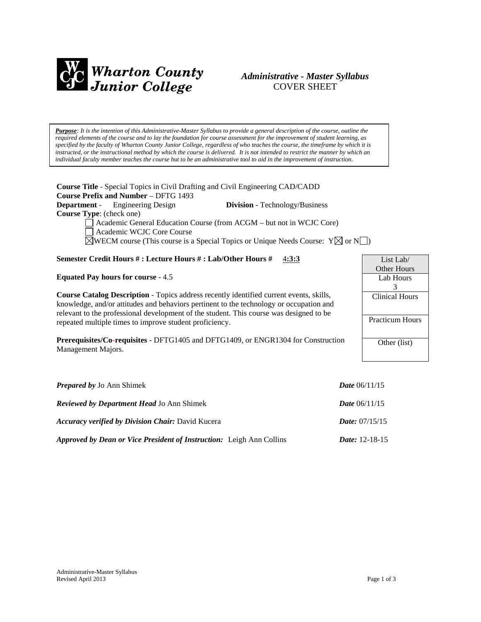

# *Administrative - Master Syllabus*  COVER SHEET

*Purpose: It is the intention of this Administrative-Master Syllabus to provide a general description of the course, outline the required elements of the course and to lay the foundation for course assessment for the improvement of student learning, as specified by the faculty of Wharton County Junior College, regardless of who teaches the course, the timeframe by which it is instructed, or the instructional method by which the course is delivered. It is not intended to restrict the manner by which an individual faculty member teaches the course but to be an administrative tool to aid in the improvement of instruction.*

**Course Title** - Special Topics in Civil Drafting and Civil Engineering CAD/CADD **Course Prefix and Number** – DFTG 1493 **Department** - Engineering Design **Division** - Technology/Business **Course Type**: (check one) Academic General Education Course (from ACGM – but not in WCJC Core)

Academic WCJC Core Course

 $\boxtimes$ WECM course (This course is a Special Topics or Unique Needs Course: Y $\boxtimes$  or N $\Box$ )

# **Semester Credit Hours # : Lecture Hours # : Lab/Other Hours #** 4**:3:3**

**Equated Pay hours for course** - 4.5

**Course Catalog Description** - Topics address recently identified current events, skills, knowledge, and/or attitudes and behaviors pertinent to the technology or occupation and relevant to the professional development of the student. This course was designed to be repeated multiple times to improve student proficiency.

**Prerequisites/Co-requisites** - DFTG1405 and DFTG1409, or ENGR1304 for Construction Management Majors.

| <b>Prepared by Jo Ann Shimek</b>                                     | <b>Date</b> $06/11/15$  |
|----------------------------------------------------------------------|-------------------------|
| <b>Reviewed by Department Head Jo Ann Shimek</b>                     | <b>Date</b> $06/11/15$  |
| <b>Accuracy verified by Division Chair: David Kucera</b>             | <i>Date:</i> $07/15/15$ |
| Approved by Dean or Vice President of Instruction: Leigh Ann Collins | <i>Date:</i> $12-18-15$ |

| List Lab $/$           |  |  |
|------------------------|--|--|
| Other Hours            |  |  |
| Lab Hours              |  |  |
| 3                      |  |  |
| <b>Clinical Hours</b>  |  |  |
|                        |  |  |
| <b>Practicum Hours</b> |  |  |
|                        |  |  |
| Other (list)           |  |  |
|                        |  |  |
|                        |  |  |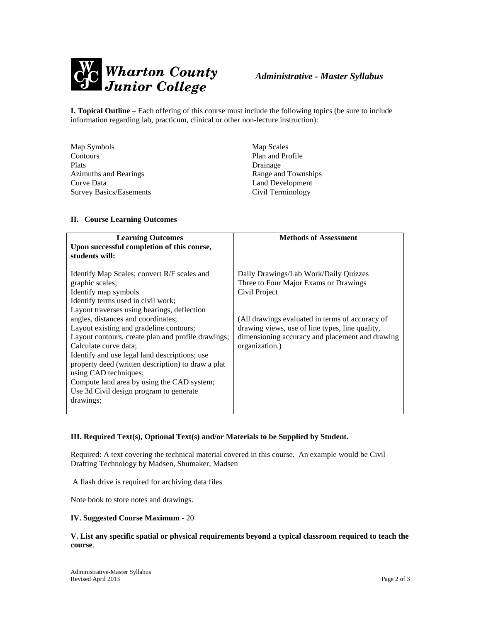

**I. Topical Outline** – Each offering of this course must include the following topics (be sure to include information regarding lab, practicum, clinical or other non-lecture instruction):

| Map Symbols                    | Map Scales          |
|--------------------------------|---------------------|
| Contours                       | Plan and Profile    |
| Plats                          | Drainage            |
| <b>Azimuths and Bearings</b>   | Range and Townships |
| Curve Data                     | Land Development    |
| <b>Survey Basics/Easements</b> | Civil Terminology   |

### **II. Course Learning Outcomes**

| <b>Learning Outcomes</b><br>Upon successful completion of this course,<br>students will:                                                                                                                                                                                                                                                                                                                                                                                                                                                                                          | <b>Methods of Assessment</b>                                                                                                                                                                                                                                               |
|-----------------------------------------------------------------------------------------------------------------------------------------------------------------------------------------------------------------------------------------------------------------------------------------------------------------------------------------------------------------------------------------------------------------------------------------------------------------------------------------------------------------------------------------------------------------------------------|----------------------------------------------------------------------------------------------------------------------------------------------------------------------------------------------------------------------------------------------------------------------------|
| Identify Map Scales; convert R/F scales and<br>graphic scales;<br>Identify map symbols<br>Identify terms used in civil work;<br>Layout traverses using bearings, deflection<br>angles, distances and coordinates;<br>Layout existing and gradeline contours;<br>Layout contours, create plan and profile drawings;<br>Calculate curve data:<br>Identify and use legal land descriptions; use<br>property deed (written description) to draw a plat<br>using CAD techniques;<br>Compute land area by using the CAD system;<br>Use 3d Civil design program to generate<br>drawings; | Daily Drawings/Lab Work/Daily Quizzes<br>Three to Four Major Exams or Drawings<br>Civil Project<br>(All drawings evaluated in terms of accuracy of<br>drawing views, use of line types, line quality,<br>dimensioning accuracy and placement and drawing<br>organization.) |

### **III. Required Text(s), Optional Text(s) and/or Materials to be Supplied by Student.**

Required: A text covering the technical material covered in this course. An example would be Civil Drafting Technology by Madsen, Shumaker, Madsen

A flash drive is required for archiving data files

Note book to store notes and drawings.

#### **IV. Suggested Course Maximum** - 20

#### **V. List any specific spatial or physical requirements beyond a typical classroom required to teach the course**.